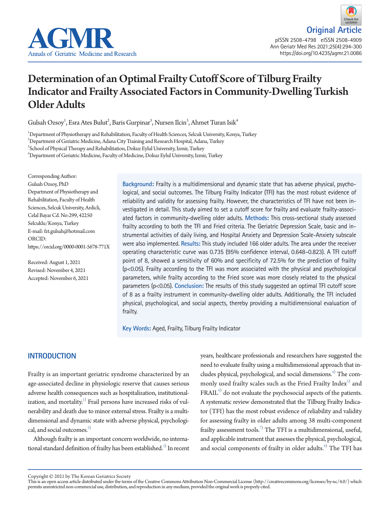

# Determination of an Optimal Frailty Cutoff Score of Tilburg Frailty Indicator and Frailty Associated Factors in Community-Dwelling Turkish Older Adults

Gulsah Ozsoy<sup>1</sup>, Esra Ates Bulut $^2$ , Baris Gurpinar $^3$ , Nursen Ilcin $^3$ , Ahmet Turan Isik $^4$ 

1 Department of Physiotherapy and Rehabilitation, Faculty of Health Sciences, Selcuk University, Konya, Turkey

 $^2$ Department of Geriatric Medicine, Adana City Training and Research Hospital, Adana, Turkey

3 School of Physical Therapy and Rehabilitation, Dokuz Eylul University, Izmir, Turkey

4 Department of Geriatric Medicine, Faculty of Medicine, Dokuz Eylul University, Izmir, Turkey

Corresponding Author: Gulsah Ozsoy, PhD Department of Physiotherapy and Rehabilitation, Faculty of Health Sciences, Selcuk University, Ardicli, Celal Bayar Cd. No:299, 42250 Selcuklu/Konya, Turkey E-mail: fzt.gulsah@hotmail.com ORCID: https://orcid.org/0000-0001-5678-771X

Received: August 1, 2021 Revised: November 4, 2021 Accepted: November 6, 2021 **Background:** Frailty is a multidimensional and dynamic state that has adverse physical, psychological, and social outcomes. The Tilburg Frailty Indicator (TFI) has the most robust evidence of reliability and validity for assessing frailty. However, the characteristics of TFI have not been investigated in detail. This study aimed to set a cutoff score for frailty and evaluate frailty-associated factors in community-dwelling older adults. **Methods:** This cross-sectional study assessed frailty according to both the TFI and Fried criteria. The Geriatric Depression Scale, basic and instrumental activities of daily living, and Hospital Anxiety and Depression Scale-Anxiety subscale were also implemented. **Results:** This study included 166 older adults. The area under the receiver operating characteristic curve was 0.735 (95% confidence interval, 0.648–0.823). A TFI cutoff point of 8, showed a sensitivity of 60% and specificity of 72.5% for the prediction of frailty (p<0.05). Frailty according to the TFI was more associated with the physical and psychological parameters, while frailty according to the Fried score was more closely related to the physical parameters (p<0.05). **Conclusion:** The results of this study suggested an optimal TFI cutoff score of 8 as a frailty instrument in community-dwelling older adults. Additionally, the TFI included physical, psychological, and social aspects, thereby providing a multidimensional evaluation of frailty.

**Key Words:** Aged, Frailty, Tilburg Frailty Indicator

# **INTRODUCTION**

Frailty is an important geriatric syndrome characterized by an age-associated decline in physiologic reserve that causes serious adverse health consequences such as hospitalization, institutionalization, and mortality. $^{1)}$  Frail persons have increased risks of vulnerability and death due to minor external stress. Frailty is a multidimensional and dynamic state with adverse physical, psychological, and social outcomes. $^{2)}$ 

Although frailty is an important concern worldwide, no international standard definition of frailty has been established. $^3$  In recent years, healthcare professionals and researchers have suggested the need to evaluate frailty using a multidimensional approach that includes physical, psychological, and social dimensions.<sup>4)</sup> The commonly used frailty scales such as the Fried Frailty Index $^{\textrm{\tiny{S}}}$  and  $\text{FRAIL}^6$  do not evaluate the psychosocial aspects of the patients. A systematic review demonstrated that the Tilburg Frailty Indicator (TFI) has the most robust evidence of reliability and validity for assessing frailty in older adults among 38 multi-component frailty assessment tools.<sup>7)</sup> The TFI is a multidimensional, useful, and applicable instrument that assesses the physical, psychological, and social components of frailty in older adults.<sup>[8\)](#page-5-2)</sup> The TFI has

Copyright © 2021 by The Korean Geriatrics Society<br>This is an open access article distributed under the terms of the Creative Commons Attribution Non-Commercial License (http://creativecommons.org/licenses/by-nc/4.0/) which permits unrestricted non-commercial use, distribution, and reproduction in any medium, provided the original work is properly cited.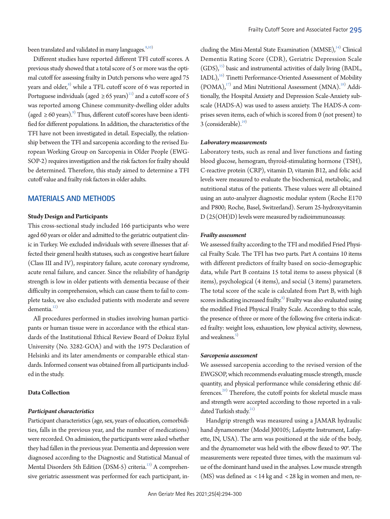been translated and validated in many languages. $9,10)$  $9,10)$  $9,10)$ 

Different studies have reported different TFI cutoff scores. A previous study showed that a total score of 5 or more was the optimal cutoff for assessing frailty in Dutch persons who were aged 75 years and older, $^{\text{\tiny{8)}}}$  $^{\text{\tiny{8)}}}$  $^{\text{\tiny{8)}}}$  while a TFL cutoff score of 6 was reported in Portuguese individuals (aged  $\geq 65$  years)<sup>11)</sup> and a cutoff score of 5 was reported among Chinese community-dwelling older adults (aged ≥ 60 years).<sup>9)</sup> Thus, different cutoff scores have been identified for different populations. In addition, the characteristics of the TFI have not been investigated in detail. Especially, the relationship between the TFI and sarcopenia according to the revised European Working Group on Sarcopenia in Older People (EWG-SOP-2) requires investigation and the risk factors for frailty should be determined. Therefore, this study aimed to determine a TFI cutoff value and frailty risk factors in older adults.

## **MATERIALS AND METHODS**

## **Study Design and Participants**

This cross-sectional study included 166 participants who were aged 60 years or older and admitted to the geriatric outpatient clinic in Turkey. We excluded individuals with severe illnesses that affected their general health statuses, such as congestive heart failure (Class III and IV), respiratory failure, acute coronary syndrome, acute renal failure, and cancer. Since the reliability of handgrip strength is low in older patients with dementia because of their difficulty in comprehension, which can cause them to fail to complete tasks, we also excluded patients with moderate and severe dementia.<sup>12)</sup>

All procedures performed in studies involving human participants or human tissue were in accordance with the ethical standards of the Institutional Ethical Review Board of Dokuz Eylul University (No. 3282-GOA) and with the 1975 Declaration of Helsinki and its later amendments or comparable ethical standards. Informed consent was obtained from all participants included in the study.

#### **Data Collection**

## *Participant characteristics*

Participant characteristics (age, sex, years of education, comorbidities, falls in the previous year, and the number of medications) were recorded. On admission, the participants were asked whether they had fallen in the previous year. Dementia and depression were diagnosed according to the Diagnostic and Statistical Manual of Mental Disorders 5th Edition (DSM-5) criteria.<sup>13)</sup> A comprehensive geriatric assessment was performed for each participant, in-

cluding the Mini-Mental State Examination (MMSE),<sup>[14](#page-6-0))</sup> Clinical Dementia Rating Score (CDR), Geriatric Depression Scale (GDS)[,15](#page-6-1)) basic and instrumental activities of daily living (BADL, IADL),<sup>16)</sup> Tinetti Performance-Oriented Assessment of Mobility  $(POMA),<sup>17</sup>$  and Mini Nutritional Assessment  $(MNA).<sup>18</sup>$  Additionally, the Hospital Anxiety and Depression Scale-Anxiety subscale (HADS-A) was used to assess anxiety. The HADS-A comprises seven items, each of which is scored from 0 (not present) to  $3$  (considerable).<sup>19)</sup>

#### *Laboratory measurements*

Laboratory tests, such as renal and liver functions and fasting blood glucose, hemogram, thyroid-stimulating hormone (TSH), C-reactive protein (CRP), vitamin D, vitamin B12, and folic acid levels were measured to evaluate the biochemical, metabolic, and nutritional status of the patients. These values were all obtained using an auto-analyzer diagnostic modular system (Roche E170 and P800; Roche, Basel, Switzerland). Serum 25-hydroxyvitamin D (25(OH)D) levels were measured by radioimmunoassay.

#### *Frailty assessment*

We assessed frailty according to the TFI and modified Fried Physical Frailty Scale. The TFI has two parts. Part A contains 10 items with different predictors of frailty based on socio-demographic data, while Part B contains 15 total items to assess physical (8 items), psychological (4 items), and social (3 items) parameters. The total score of the scale is calculated from Part B, with high scores indicating increased frailty.<sup>8)</sup> Frailty was also evaluated using the modified Fried Physical Frailty Scale. According to this scale, the presence of three or more of the following five criteria indicated frailty: weight loss, exhaustion, low physical activity, slowness, and weakness. $5)$ 

#### *Sarcopenia assessment*

We assessed sarcopenia according to the revised version of the EWGSOP, which recommends evaluating muscle strength, muscle quantity, and physical performance while considering ethnic differences.<sup>20)</sup> Therefore, the cutoff points for skeletal muscle mass and strength were accepted according to those reported in a validated Turkish study.<sup>21)</sup>

Handgrip strength was measured using a JAMAR hydraulic hand dynamometer (Model J00105; Lafayette Instrument, Lafayette, IN, USA). The arm was positioned at the side of the body, and the dynamometer was held with the elbow flexed to 90°. The measurements were repeated three times, with the maximum value of the dominant hand used in the analyses. Low muscle strength (MS) was defined as < 14 kg and < 28 kg in women and men, re-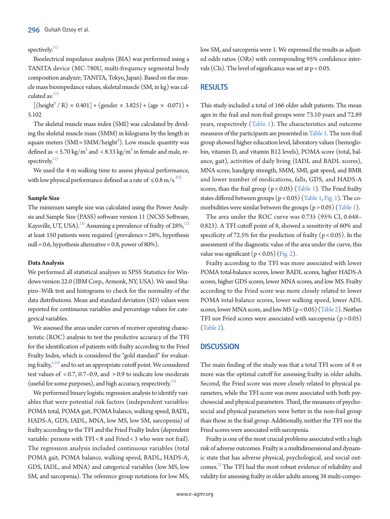# spectively. $21)$

Bioelectrical impedance analysis (BIA) was performed using a TANITA device (MC-780U, multi-frequency segmental body composition analyzer; TANITA, Tokyo, Japan). Based on the muscle mass bioimpedance values, skeletal muscle (SM, in kg) was calculated as: $^{22)}$ 

 $[(height<sup>2</sup> / R) \times 0.401] + (gender \times 3.825) + (age \times -0.071) +$ 5.102

The skeletal muscle mass index (SMI) was calculated by dividing the skeletal muscle mass (SMM) in kilograms by the length in square meters  $(SMI = SMM/height<sup>2</sup>)$ . Low muscle quantity was defined as  $\langle 5.70 \text{ kg/m}^2 \text{ and } \langle 8.33 \text{ kg/m}^2 \text{ in female and male, re-} \rangle$ spectively. $21)$ 

We used the 4-m walking time to assess physical performance, with low physical performance defined as a rate of  $\leq 0.8$  m/s.<sup>[20](#page-6-2))</sup>

## **Sample Size**

The minimum sample size was calculated using the Power Analysis and Sample Size (PASS) software version 11 (NCSS Software, Kaysville, UT, USA). $^{23)}$  Assuming a prevalence of frailty of 28%, $^{12}$ at least 150 patients were required (prevalence = 28%, hypothesis null = 0.6, hypothesis alternative = 0.8, power of  $80\%$ ).

#### **Data Analysis**

We performed all statistical analyses in SPSS Statistics for Windows version 22.0 (IBM Corp., Armonk, NY, USA). We used Shapiro–Wilk test and histograms to check for the normality of the data distributions. Mean and standard deviation (SD) values were reported for continuous variables and percentage values for categorical variables.

We assessed the areas under curves of receiver operating characteristic (ROC) analysis to test the predictive accuracy of the TFI for the identification of patients with frailty according to the Fried Frailty Index, which is considered the "gold standard" for evaluating frailty, $5,24)$  $5,24)$  and to set an appropriate cutoff point. We considered test values of < 0.7, 0.7–0.9, and > 0.9 to indicate low moderate (useful for some purposes), and high accuracy, respectively. $^{25)}$ 

We performed binary logistic regression analysis to identify variables that were potential risk factors (independent variables: POMA total, POMA gait, POMA balance, walking speed, BADL, HADS-A, GDS, IADL, MNA, low MS, low SM, sarcopenia) of frailty according to the TFI and the Fried Frailty Index (dependent variable: persons with TFI < 8 and Fried < 3 who were not frail). The regression analysis included continuous variables (total POMA gait, POMA balance, walking speed, BADL, HADS-A, GDS, IADL, and MNA) and categorical variables (low MS, low SM, and sarcopenia). The reference group notations for low MS,

low SM, and sarcopenia were 1. We expressed the results as adjusted odds ratios (ORs) with corresponding 95% confidence intervals (CIs). The level of significance was set at p < 0.05.

## **RESULTS**

This study included a total of 166 older adult patients. The mean ages in the frail and non-frail groups were 73.10 years and 72.89 years, respectively [\(Table 1\)](#page-3-0). The characteristics and outcome measures of the participants are presented i[n Table 1](#page-3-0). The non-frail group showed higher education level, laboratory values (hemoglobin, vitamin D, and vitamin B12 levels), POMA score (total, balance, gait), activities of daily living (IADL and BADL scores), MNA score, handgrip strength, SMM, SMI, gait speed, and BMR and lower number of medications, falls, GDS, and HADS-A scores, than the frail group  $(p < 0.05)$  [\(T](#page-3-0)able [1\)](#page-3-0). The Fried frailty states differed between groups (p < 0.05) [\(T](#page-3-0)able 1[, Fig. 1](#page-4-0)). The comorbidities were similar between the groups ( $p > 0.05$ ) [\(Table 1\)](#page-3-0).

The area under the ROC curve was 0.735 (95% CI, 0.648– 0.823). A TFI cutoff point of 8, showed a sensitivity of 60% and specificity of 72.5% for the prediction of frailty ( $p < 0.05$ ). In the assessment of the diagnostic value of the area under the curve, this value was significant  $(p < 0.05)$  [\(Fig. 2](#page-4-1)).

Frailty according to the TFI was more associated with lower POMA total-balance scores, lower BADL scores, higher HADS-A scores, higher GDS scores, lower MNA scores, and low MS. Frailty according to the Fried score was more closely related to lower POMA total-balance scores, lower walking speed, lower ADL scores, lower MNA score, and low MS (p < 0.05) [\(Table 2\)](#page-4-2). Neither TFI nor Fried scores were associated with sarcopenia  $(p > 0.05)$ [\(Table 2\)](#page-4-2).

## **DISCUSSION**

The main finding of the study was that a total TFI score of 8 or more was the optimal cutoff for assessing frailty in older adults. Second, the Fried score was more closely related to physical parameters, while the TFI score was more associated with both psychosocial and physical parameters. Third, the measures of psychosocial and physical parameters were better in the non-frail group than those in the frail group. Additionally, neither the TFI nor the Fried scores were associated with sarcopenia.

Frailty is one of the most crucial problems associated with a high risk of adverse outcomes. Frailty is a multidimensional and dynamic state that has adverse physical, psychological, and social outcomes.<sup>2)</sup> The TFI had the most robust evidence of reliability and validity for assessing frailty in older adults among 38 multi-compo-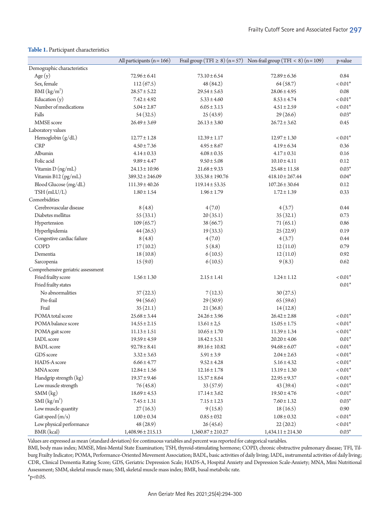#### <span id="page-3-0"></span>**Table 1.** Participant characteristics

|                                    | All participants ( $n = 166$ ) |                       | Frail group (TFI $\geq 8$ ) (n = 57) Non-frail group (TFI < 8) (n = 109) | p-value    |
|------------------------------------|--------------------------------|-----------------------|--------------------------------------------------------------------------|------------|
| Demographic characteristics        |                                |                       |                                                                          |            |
| Age $(y)$                          | $72.96 \pm 6.41$               | $73.10 \pm 6.54$      | $72.89 \pm 6.36$                                                         | 0.84       |
| Sex, female                        | 112(67.5)                      | 48 (84.2)             | 64(58.7)                                                                 | $< 0.01*$  |
| BMI (kg/m <sup>2</sup> )           | $28.57 \pm 5.22$               | $29.54 \pm 5.63$      | $28.06 \pm 4.95$                                                         | 0.08       |
| Education $(y)$                    | $7.42 \pm 4.92$                | $5.33 \pm 4.60$       | $8.53 \pm 4.74$                                                          | $< 0.01*$  |
| Number of medications              | $5.04 \pm 2.87$                | $6.05 \pm 3.13$       | $4.51 \pm 2.59$                                                          | $< 0.01*$  |
| Falls                              | 54(32.5)                       | 25(43.9)              | 29(26.6)                                                                 | $0.03*$    |
| MMSE score                         | $26.49 \pm 3.69$               | $26.13 \pm 3.80$      | $26.72 \pm 3.62$                                                         | 0.45       |
| Laboratory values                  |                                |                       |                                                                          |            |
| Hemoglobin $(g/dL)$                | $12.77 \pm 1.28$               | $12.39 \pm 1.17$      | $12.97 \pm 1.30$                                                         | $< 0.01*$  |
| <b>CRP</b>                         | $4.50 \pm 7.36$                | $4.95 \pm 8.67$       | $4.19 \pm 6.34$                                                          | 0.36       |
| Albumin                            | $4.14 \pm 0.33$                | $4.08 \pm 0.35$       | $4.17 \pm 0.31$                                                          | 0.16       |
| Folic acid                         | $9.89 \pm 4.47$                | $9.50 \pm 5.08$       | $10.10 \pm 4.11$                                                         | 0.12       |
| Vitamin D (ng/mL)                  | $24.13 \pm 10.96$              | $21.68 \pm 9.33$      | $25.48 \pm 11.58$                                                        | $0.03*$    |
| Vitamin B12 (pg/mL)                | $389.32 \pm 246.09$            | $335.38 \pm 190.76$   | $418.10 \pm 267.44$                                                      | $0.04*$    |
| Blood Glucose (mg/dL)              | $111.39 \pm 40.26$             | $119.14 \pm 53.35$    | $107.26 \pm 30.64$                                                       | 0.12       |
| TSH (mLU/L)                        | $1.80 \pm 1.54$                | $1.96 \pm 1.79$       | $1.72 \pm 1.39$                                                          | 0.33       |
| Comorbidities                      |                                |                       |                                                                          |            |
| Cerebrovascular disease            | 8(4.8)                         | 4(7.0)                | 4(3.7)                                                                   | 0.44       |
| Diabetes mellitus                  | 55(33.1)                       | 20(35.1)              | 35(32.1)                                                                 | 0.73       |
| Hypertension                       | 109(65.7)                      | 38(66.7)              | 71(65.1)                                                                 | 0.86       |
| Hyperlipidemia                     | 44(26.5)                       | 19(33.3)              | 25(22.9)                                                                 | 0.19       |
| Congestive cardiac failure         | 8(4.8)                         | 4(7.0)                | 4(3.7)                                                                   | 0.44       |
| COPD                               | 17(10.2)                       | 5(8.8)                | 12(11.0)                                                                 | 0.79       |
| Dementia                           | 18(10.8)                       | 6(10.5)               | 12(11.0)                                                                 | 0.92       |
| Sarcopenia                         | 15(9.0)                        | 6(10.5)               | 9(8.3)                                                                   | 0.62       |
| Comprehensive geriatric assessment |                                |                       |                                                                          |            |
| Fried frailty score                | $1.56 \pm 1.30$                | $2.15 \pm 1.41$       | $1.24 \pm 1.12$                                                          | $< 0.01*$  |
| Fried frailty states               |                                |                       |                                                                          | $0.01*$    |
| No abnormalities                   | 37(22.3)                       | 7(12.3)               | 30(27.5)                                                                 |            |
| Pre-frail                          | 94(56.6)                       | 29(50.9)              | 65(59.6)                                                                 |            |
| Frail                              | 35(21.1)                       | 21(36.8)              | 14(12.8)                                                                 |            |
| POMA total score                   | $25.68 \pm 3.44$               | $24.26 \pm 3.96$      | $26.42 \pm 2.88$                                                         | $< 0.01*$  |
| POMA balance score                 | $14.55 \pm 2.15$               | $13.61 \pm 2.5$       | $15.05 \pm 1.75$                                                         | $< 0.01*$  |
| POMA gait score                    | $11.13 \pm 1.51$               | $10.65 \pm 1.70$      | $11.39 \pm 1.34$                                                         | $< 0.01*$  |
| IADL score                         | $19.59 \pm 4.59$               | $18.42 \pm 5.31$      | $20.20 \pm 4.06$                                                         | $0.01*$    |
| <b>BADL</b> score                  | $92.78 \pm 8.41$               | $89.16 \pm 10.82$     | $94.68 \pm 6.07$                                                         | $< 0.01*$  |
| GDS score                          | $3.32 \pm 3.63$                | $5.91 \pm 3.9$        | $2.04 \pm 2.63$                                                          | $< 0.01*$  |
| HADS-A score                       | $6.66 \pm 4.77$                | $9.52 \pm 4.28$       | $5.16 \pm 4.32$                                                          | $< 0.01^*$ |
| MNA score                          | $12.84 \pm 1.56$               | $12.16 \pm 1.78$      | $13.19 \pm 1.30$                                                         | $< 0.01^*$ |
| Handgrip strength (kg)             | $19.37 \pm 9.46$               | $15.37 \pm 8.64$      | $22.95 \pm 9.37$                                                         | $< 0.01^*$ |
| Low muscle strength                | 76 (45.8)                      | 33(57.9)              | 43 (39.4)                                                                | $< 0.01^*$ |
| SMM(kg)                            | $18.69 \pm 4.53$               | $17.14 \pm 3.62$      | $19.50 \pm 4.76$                                                         | $< 0.01^*$ |
|                                    |                                |                       |                                                                          |            |
| SMI (kg/m <sup>2</sup> )           | $7.45 \pm 1.31$                | $7.15 \pm 1.23$       | $7.60 \pm 1.32$                                                          | $0.03*$    |
| Low muscle quantity                | 27(16.3)                       | 9(15.8)               | 18(16.5)                                                                 | $0.90\,$   |
| Gait speed (m/s)                   | $1.00 \pm 0.34$                | $0.85\pm032$          | $1.08 \pm 0.32$                                                          | $< 0.01^*$ |
| Low physical performance           | 48 (28.9)                      | 26(45.6)              | 22(20.2)                                                                 | $< 0.01^*$ |
| BMR (kcal)                         | $1,408.96 \pm 215.13$          | $1,360.87 \pm 210.27$ | $1,434.11 \pm 214.30$                                                    | $0.03*$    |

Values are expressed as mean (standard deviation) for continuous variables and percent was reported for categorical variables.

BMI, body mass index; MMSE, Mini-Mental State Examination; TSH, thyroid-stimulating hormone; COPD, chronic obstructive pulmonary disease; TFI, Tilburg Frailty Indicator; POMA, Performance-Oriented Movement Association; BADL, basic activities of daily living; IADL, instrumental activities of daily living; CDR, Clinical Dementia Rating Score; GDS, Geriatric Depression Scale; HADS-A, Hospital Anxiety and Depression Scale-Anxiety; MNA, Mini Nutritional Assessment; SMM, skeletal muscle mass; SMI, skeletal muscle mass index; BMR, basal metabolic rate.  $*_{p<0.05}$ .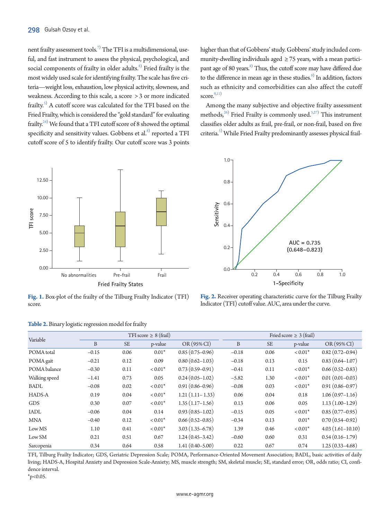nent frailty assessment tools. $^{7)}$  The TFI is a multidimensional, useful, and fast instrument to assess the physical, psychological, and social components of frailty in older adults. $^{\mathrm{8)}}$  Fried frailty is the most widely used scale for identifying frailty. The scale has five criteria—weight loss, exhaustion, low physical activity, slowness, and weakness. According to this scale, a score > 3 or more indicated frailty.<sup>5)</sup> A cutoff score was calculated for the TFI based on the Fried Frailty, which is considered the "gold standard" for evaluating frailty. $^{24)}$  We found that a TFI cutoff score of 8 showed the optimal specificity and sensitivity values. Gobbens et al. $^{\mathrm{s}}$  reported a TFI cutoff score of 5 to identify frailty. Our cutoff score was 3 points

<span id="page-4-0"></span>

**Fig. 1.** Box-plot of the frailty of the Tilburg Frailty Indicator (TFI) score.

<span id="page-4-2"></span>

|  |  |  |  | Table 2. Binary logistic regression model for frailty |  |  |
|--|--|--|--|-------------------------------------------------------|--|--|
|--|--|--|--|-------------------------------------------------------|--|--|

higher than that of Gobbens' study. Gobbens' study included community-dwelling individuals aged  $\geq$  75 years, with a mean participant age of 80 years.<sup>8)</sup> Thus, the cutoff score may have differed due to the difference in mean age in these studies.<sup>8)</sup> In addition, factors such as ethnicity and comorbidities can also affect the cutoff score. $9,11)$ 

Among the many subjective and objective frailty assessment methods,  $26$ ) Fried Frailty is commonly used.  $5,27$  $5,27$ ) This instrument classifies older adults as frail, pre-frail, or non-frail, based on five criteria.5) While Fried Frailty predominantly assesses physical frail-

<span id="page-4-1"></span>

**Fig. 2.** Receiver operating characteristic curve for the Tilburg Frailty Indicator (TFI) cutoff value. AUC, area under the curve.

| Variable      |         |           | TFI score $\geq 8$ (frail) |                     |         |           | Fried score $\geq 3$ (frail) |                     |
|---------------|---------|-----------|----------------------------|---------------------|---------|-----------|------------------------------|---------------------|
|               | B       | <b>SE</b> | p-value                    | OR (95% CI)         | B       | <b>SE</b> | p-value                      | $OR(95\% CI)$       |
| POMA total    | $-0.15$ | 0.06      | $0.01*$                    | $0.85(0.75-0.96)$   | $-0.18$ | 0.06      | $< 0.01*$                    | $0.82(0.72 - 0.94)$ |
| POMA gait     | $-0.21$ | 0.12      | 0.09                       | $0.80(0.62 - 1.03)$ | $-0.18$ | 0.13      | 0.15                         | $0.83(0.64 - 1.07)$ |
| POMA balance  | $-0.30$ | 0.11      | $< 0.01*$                  | $0.73(0.59-0.91)$   | $-0.41$ | 0.11      | $< 0.01*$                    | $0.66(0.52 - 0.83)$ |
| Walking speed | $-1.41$ | 0.73      | 0.05                       | $0.24(0.05-1.02)$   | $-5.82$ | 1.30      | $< 0.01*$                    | $0.01(0.01 - 0.03)$ |
| <b>BADL</b>   | $-0.08$ | 0.02      | $< 0.01*$                  | $0.91(0.86 - 0.96)$ | $-0.08$ | 0.03      | $< 0.01*$                    | $0.91(0.86 - 0.97)$ |
| <b>HADS-A</b> | 0.19    | 0.04      | $< 0.01*$                  | $1.21(1.11-1.33)$   | 0.06    | 0.04      | 0.18                         | $1.06(0.97-1.16)$   |
| <b>GDS</b>    | 0.30    | 0.07      | $< 0.01*$                  | $1.35(1.17-1.56)$   | 0.13    | 0.06      | 0.05                         | $1.13(1.00-1.29)$   |
| IADL          | $-0.06$ | 0.04      | 0.14                       | $0.93(0.85-1.02)$   | $-0.15$ | 0.05      | $< 0.01*$                    | $0.85(0.77-0.95)$   |
| <b>MNA</b>    | $-0.40$ | 0.12      | $< 0.01*$                  | $0.66(0.52 - 0.85)$ | $-0.34$ | 0.13      | $0.01*$                      | $0.70(0.54 - 0.92)$ |
| Low MS        | 1.10    | 0.41      | $< 0.01*$                  | $3.03(1.35-6.78)$   | 1.39    | 0.46      | $< 0.01*$                    | $4.03(1.61-10.10)$  |
| Low SM        | 0.21    | 0.51      | 0.67                       | $1.24(0.45-3.42)$   | $-0.60$ | 0.60      | 0.31                         | $0.54(0.16-1.79)$   |
| Sarcopenia    | 0.34    | 0.64      | 0.58                       | $1.41(0.40 - 5.00)$ | 0.22    | 0.67      | 0.74                         | $1.25(0.33 - 4.68)$ |

TFI, Tilburg Frailty Indicator; GDS, Geriatric Depression Scale; POMA, Performance-Oriented Movement Association; BADL, basic activities of daily living; HADS-A, Hospital Anxiety and Depression Scale-Anxiety; MS, muscle strength; SM, skeletal muscle; SE, standard error; OR, odds ratio; CI, confidence interval.

 $*_{p<0.05}$ .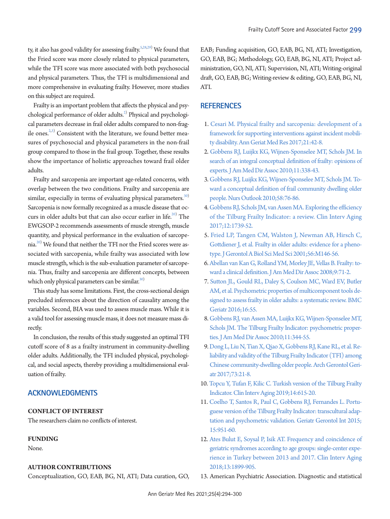ty, it also has good validity for assessing frailty.<sup>5[,28](#page-6-12)[,29\)](#page-6-13)</sup> We found that the Fried score was more closely related to physical parameters, while the TFI score was more associated with both psychosocial and physical parameters. Thus, the TFI is multidimensional and more comprehensive in evaluating frailty. However, more studies on this subject are required.

Frailty is an important problem that affects the physical and psychological performance of older adults.<sup>2)</sup> Physical and psychological parameters decrease in frail older adults compared to non-fragile ones. $^{2,3)}$  Consistent with the literature, we found better measures of psychosocial and physical parameters in the non-frail group compared to those in the frail group. Together, these results show the importance of holistic approaches toward frail older adults.

Frailty and sarcopenia are important age-related concerns, with overlap between the two conditions. Frailty and sarcopenia are similar, especially in terms of evaluating physical parameters. $30$ Sarcopenia is now formally recognized as a muscle disease that occurs in older adults but that can also occur earlier in life. $^{20)}$  The EWGSOP-2 recommends assessments of muscle strength, muscle quantity, and physical performance in the evaluation of sarcopenia. $^{20)}$  We found that neither the TFI nor the Fried scores were associated with sarcopenia, while frailty was associated with low muscle strength, which is the sub-evaluation parameter of sarcopenia. Thus, frailty and sarcopenia are different concepts, between which only physical parameters can be similar.<sup>30)</sup>

This study has some limitations. First, the cross-sectional design precluded inferences about the direction of causality among the variables. Second, BIA was used to assess muscle mass. While it is a valid tool for assessing muscle mass, it does not measure mass directly.

In conclusion, the results of this study suggested an optimal TFI cutoff score of 8 as a frailty instrument in community-dwelling older adults. Additionally, the TFI included physical, psychological, and social aspects, thereby providing a multidimensional evaluation of frailty.

# **ACKNOWLEDGMENTS**

## **CONFLICT OF INTEREST**

The researchers claim no conflicts of interest.

## **FUNDING**

None.

## **AUTHOR CONTRIBUTIONS**

Conceptualization, GO, EAB, BG, NI, ATI; Data curation, GO,

EAB; Funding acquisition, GO, EAB, BG, NI, ATI; Investigation, GO, EAB, BG; Methodology, GO, EAB, BG, NI, ATI; Project administration, GO, NI, ATI; Supervision, NI, ATI; Writing-original draft, GO, EAB, BG; Writing-review & editing, GO, EAB, BG, NI, ATI.

## **REFERENCES**

- <span id="page-5-0"></span>1. Cesari M. Physical frailty and sarcopenia: development of a framework for supporting interventions against incident mobility disability. Ann Geriat Med Res 2017;21:42-8.
- <span id="page-5-1"></span>2. Gobbens RJ, Luijkx [KG, Wijnen-Sponselee MT, Schols JM. In](https://doi.org/10.1016/j.jamda.2009.09.015)  [search of an integral conceptual definition of frailty: opinions of](https://doi.org/10.1016/j.jamda.2009.09.015)  [experts. J Am Med Dir Assoc 2010;11:338-43.](https://doi.org/10.1016/j.jamda.2009.09.015)
- <span id="page-5-4"></span>3. Gobbens RJ, Luijkx [KG, Wijnen-Sponselee MT, Schols JM. To](https://doi.org/10.1016/j.outlook.2009.09.005)[ward a conceptual definition of frail community dwelling older](https://doi.org/10.1016/j.outlook.2009.09.005)  [people. Nurs Outlook 2010;58:76-86.](https://doi.org/10.1016/j.outlook.2009.09.005)
- <span id="page-5-2"></span>4. Gobbens RJ, Schols JM, van Assen MA. Exploring the efficiency of the Tilburg Frailty Indicator: a review. Clin Interv Aging 2017;12:1739-52.
- <span id="page-5-5"></span>5. Fried LP, [Tangen CM, Walston J, Newman AB, Hirsch C,](https://doi.org/10.1093/gerona/56.3.m146)  [Gottdiener J, et al. Frailty in older adults: evidence for a pheno](https://doi.org/10.1093/gerona/56.3.m146)[type. J Gerontol A Biol Sci Med Sci 2001;56:M146-56.](https://doi.org/10.1093/gerona/56.3.m146)
- <span id="page-5-3"></span>[6. Abellan van Kan G, Rolland YM, Morley JE, Vellas B. Frailty: to](https://doi.org/10.1016/j.jamda.2007.11.005)[ward a clinical definition. J Am Med Dir Assoc 2008;9:71-2.](https://doi.org/10.1016/j.jamda.2007.11.005)
- <span id="page-5-7"></span>7. Sutton JL, Gould RL, Dale[y S, Coulson MC, Ward EV, Butler](https://doi.org/10.1186/s12877-016-0225-2)  [AM, et al. Psychometric properties of multicomponent tools de](https://doi.org/10.1186/s12877-016-0225-2)[signed to assess frailty in older adults: a systematic review. BMC](https://doi.org/10.1186/s12877-016-0225-2)  [Geriatr 2016;16:55.](https://doi.org/10.1186/s12877-016-0225-2)
- <span id="page-5-8"></span>8. Gobbens RJ, van Assen MA, Luijkx [KG, Wijnen-Sponselee MT,](https://doi.org/10.1016/j.jamda.2009.11.003)  [Schols JM. The Tilburg Frailty Indicator: psychometric proper](https://doi.org/10.1016/j.jamda.2009.11.003)[ties. J Am Med Dir Assoc 2010;11:344-55.](https://doi.org/10.1016/j.jamda.2009.11.003)
- 9. [Dong L, Liu N, Tian X, Qiao X, Gobbens RJ, Kane RL, et al. Re](https://doi.org/10.1016/j.archger.2017.07.001)[liability and validity of the Tilburg Frailty Indicator \(TFI\) among](https://doi.org/10.1016/j.archger.2017.07.001)  [Chinese community-dwelling older people. Arch Gerontol Geri](https://doi.org/10.1016/j.archger.2017.07.001)[atr 2017;73:21-8.](https://doi.org/10.1016/j.archger.2017.07.001)
- <span id="page-5-6"></span>10[. Topcu Y, Tufan F, Kilic C. Turkish version of the Tilburg Frailty](https://doi.org/10.2147/cia.s197512)  [Indicator. Clin Interv Aging 2019;14:615-20.](https://doi.org/10.2147/cia.s197512)
- 11. [Coelho T, Santos R, Paul C, Gobbens RJ, Fernandes L. Portu](https://doi.org/10.1111/ggi.12373)[guese version of the Tilburg Frailty Indicator: transcultural adap](https://doi.org/10.1111/ggi.12373)[tation and psychometric validation. Geriatr Gerontol Int 2015;](https://doi.org/10.1111/ggi.12373) [15:951-60.](https://doi.org/10.1111/ggi.12373)
- 12. [Ates Bulut E, Soysal P, Isik AT. Frequency and coincidence of](https://doi.org/10.2147/cia.s180281)  [geriatric syndromes according to age groups: single-center expe](https://doi.org/10.2147/cia.s180281)[rience in Turkey between 2013 and 2017. Clin Interv Aging](https://doi.org/10.2147/cia.s180281)  [2018;13:1899-905.](https://doi.org/10.2147/cia.s180281)
- <span id="page-5-9"></span>13. American Psychiatric Association. Diagnostic and statistical